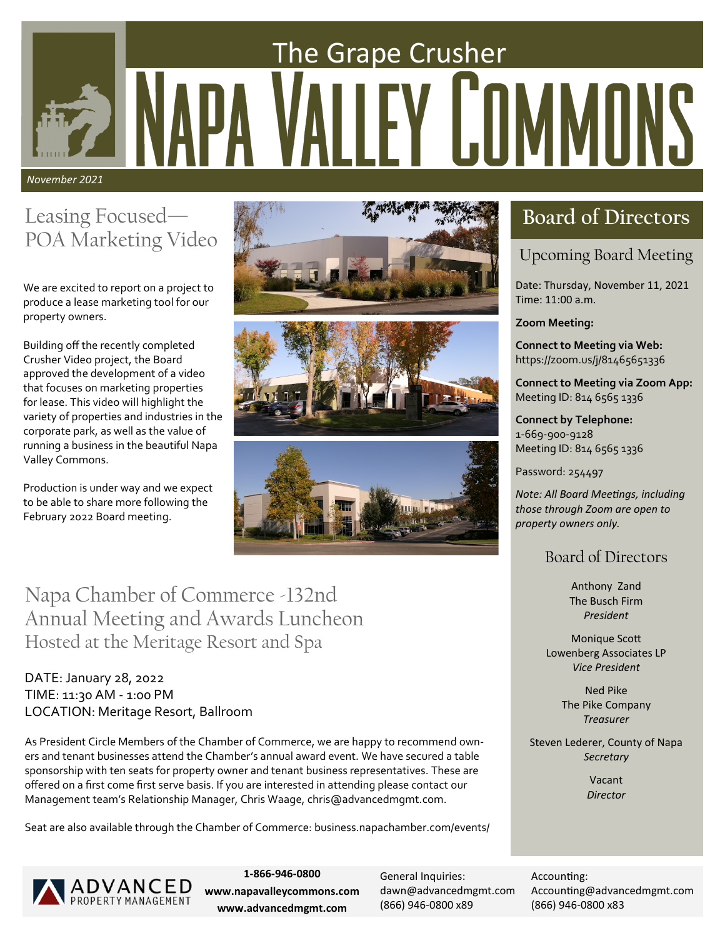# The Grape Crusher Y LOMMUNS *November 2021*

## Leasing Focused— POA Marketing Video

We are excited to report on a project to produce a lease marketing tool for our property owners.

Building off the recently completed Crusher Video project, the Board approved the development of a video that focuses on marketing properties for lease. This video will highlight the variety of properties and industries in the corporate park, as well as the value of running a business in the beautiful Napa Valley Commons.

Production is under way and we expect to be able to share more following the February 2022 Board meeting.







Napa Chamber of Commerce -132nd Annual Meeting and Awards Luncheon Hosted at the Meritage Resort and Spa

### DATE: January 28, 2022 TIME: 11:30 AM - 1:00 PM LOCATION: Meritage Resort, Ballroom

As President Circle Members of the Chamber of Commerce, we are happy to recommend owners and tenant businesses attend the Chamber's annual award event. We have secured a table sponsorship with ten seats for property owner and tenant business representatives. These are offered on a first come first serve basis. If you are interested in attending please contact our Management team's Relationship Manager, Chris Waage, chris@advancedmgmt.com.

Seat are also available through the Chamber of Commerce: business.napachamber.com/events/

# **Board of Directors**

### Upcoming Board Meeting

Date: Thursday, November 11, 2021 Time: 11:00 a.m.

**Zoom Meeting:**

**Connect to Meeting via Web:** https://zoom.us/j/81465651336

**Connect to Meeting via Zoom App:** Meeting ID: 814 6565 1336

**Connect by Telephone:** 1-669-900-9128 Meeting ID: 814 6565 1336

Password: 254497

*Note: All Board Meetings, including those through Zoom are open to property owners only.*

### Board of Directors

Anthony Zand The Busch Firm *President*

Monique Scott Lowenberg Associates LP *Vice President*

> Ned Pike The Pike Company *Treasurer*

Steven Lederer, County of Napa *Secretary*

> Vacant *Director*



**1-866-946-0800 www.napavalleycommons.com www.advancedmgmt.com**

General Inquiries: [dawn@advancedmgmt.com](mailto:dawn@advancedmgmt.com) (866) 946-0800 x89

Accounting: Accounting@advancedmgmt.com (866) 946-0800 x83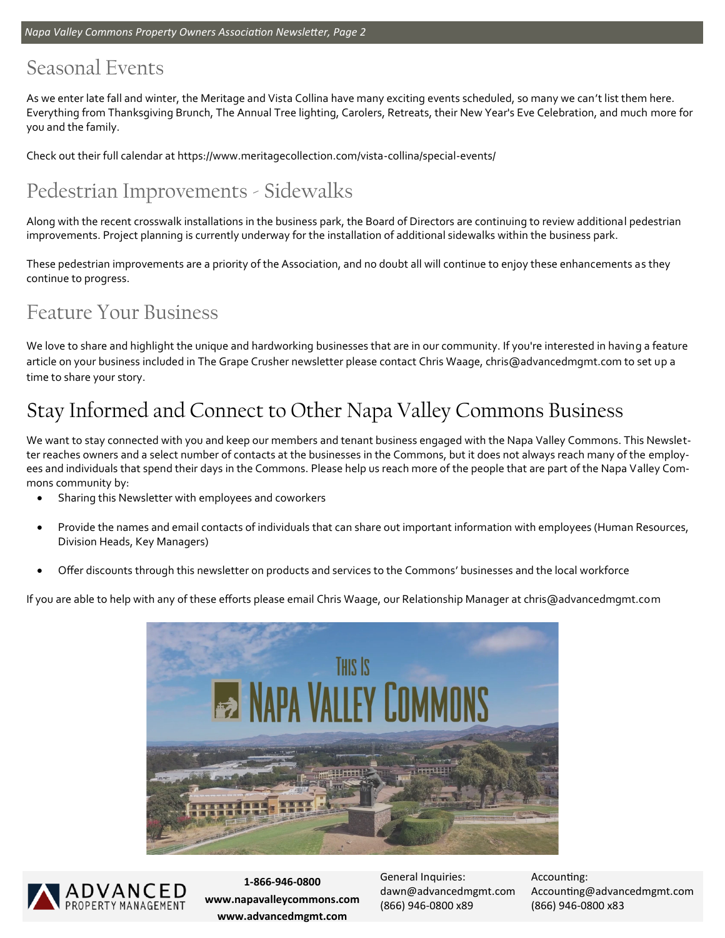### Seasonal Events

As we enter late fall and winter, the Meritage and Vista Collina have many exciting events scheduled, so many we can't list them here. Everything from Thanksgiving Brunch, The Annual Tree lighting, Carolers, Retreats, their New Year's Eve Celebration, and much more for you and the family.

Check out their full calendar at https://www.meritagecollection.com/vista-collina/special-events/

## Pedestrian Improvements - Sidewalks

Along with the recent crosswalk installations in the business park, the Board of Directors are continuing to review additional pedestrian improvements. Project planning is currently underway for the installation of additional sidewalks within the business park.

These pedestrian improvements are a priority of the Association, and no doubt all will continue to enjoy these enhancements as they continue to progress.

### Feature Your Business

We love to share and highlight the unique and hardworking businesses that are in our community. If you're interested in having a feature article on your business included in The Grape Crusher newsletter please contact Chris Waage, chris@advancedmgmt.com to set up a time to share your story.

# Stay Informed and Connect to Other Napa Valley Commons Business

We want to stay connected with you and keep our members and tenant business engaged with the Napa Valley Commons. This Newsletter reaches owners and a select number of contacts at the businesses in the Commons, but it does not always reach many of the employees and individuals that spend their days in the Commons. Please help us reach more of the people that are part of the Napa Valley Commons community by:

- Sharing this Newsletter with employees and coworkers
- Provide the names and email contacts of individuals that can share out important information with employees (Human Resources, Division Heads, Key Managers)
- Offer discounts through this newsletter on products and services to the Commons' businesses and the local workforce

If you are able to help with any of these efforts please email Chris Waage, our Relationship Manager at chris@advancedmgmt.com





**1-866-946-0800 www.napavalleycommons.com www.advancedmgmt.com**

General Inquiries: [dawn@advancedmgmt.com](mailto:dawn@advancedmgmt.com) (866) 946-0800 x89

Accounting: Accounting@advancedmgmt.com (866) 946-0800 x83